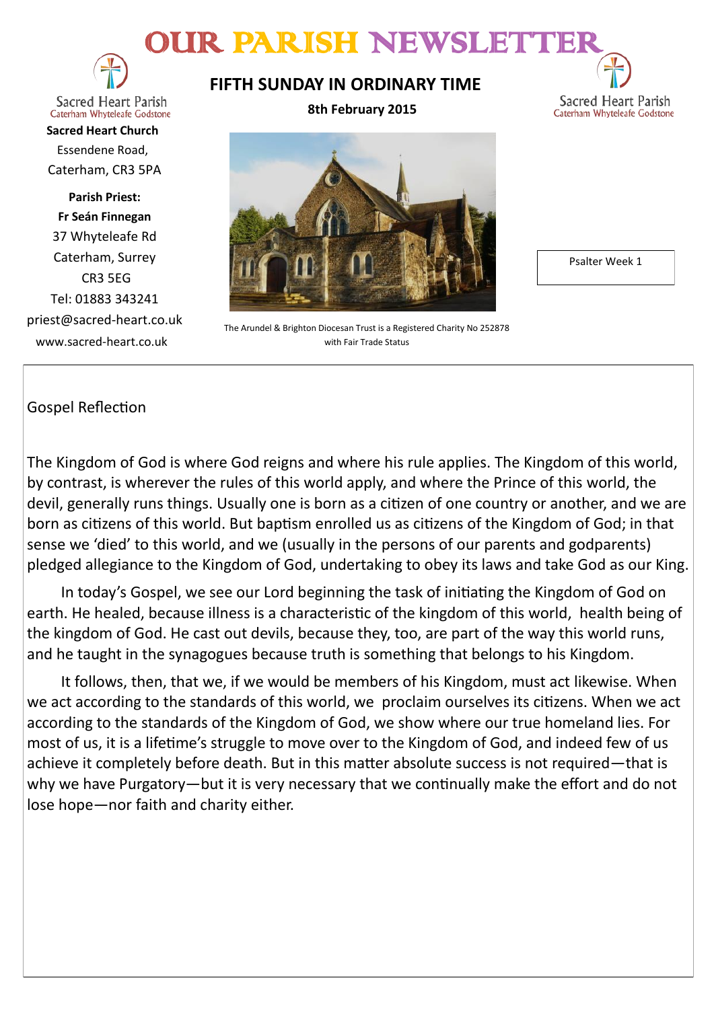# OUR PARISH NEWSLETT



Sacred Heart Parish Caterham Whyteleafe Godstone

**Sacred Heart Church** Essendene Road, Caterham, CR3 5PA

**Parish Priest: Fr Seán Finnegan** 37 Whyteleafe Rd Caterham, Surrey CR3 5EG Tel: 01883 343241 priest@sacred-heart.co.uk www.sacred-heart.co.uk

### **FIFTH SUNDAY IN ORDINARY TIME**

**8th February 2015**



The Arundel & Brighton Diocesan Trust is a Registered Charity No 252878 with Fair Trade Status

Psalter Week 1

Sacred Heart Parish

Caterham Whyteleafe Godstone

### Gospel Reflection

The Kingdom of God is where God reigns and where his rule applies. The Kingdom of this world, by contrast, is wherever the rules of this world apply, and where the Prince of this world, the devil, generally runs things. Usually one is born as a citizen of one country or another, and we are born as citizens of this world. But baptism enrolled us as citizens of the Kingdom of God; in that sense we 'died' to this world, and we (usually in the persons of our parents and godparents) pledged allegiance to the Kingdom of God, undertaking to obey its laws and take God as our King.

In today's Gospel, we see our Lord beginning the task of initiating the Kingdom of God on earth. He healed, because illness is a characteristic of the kingdom of this world, health being of the kingdom of God. He cast out devils, because they, too, are part of the way this world runs, and he taught in the synagogues because truth is something that belongs to his Kingdom.

It follows, then, that we, if we would be members of his Kingdom, must act likewise. When we act according to the standards of this world, we proclaim ourselves its citizens. When we act according to the standards of the Kingdom of God, we show where our true homeland lies. For most of us, it is a lifetime's struggle to move over to the Kingdom of God, and indeed few of us achieve it completely before death. But in this matter absolute success is not required—that is why we have Purgatory—but it is very necessary that we continually make the effort and do not lose hope—nor faith and charity either.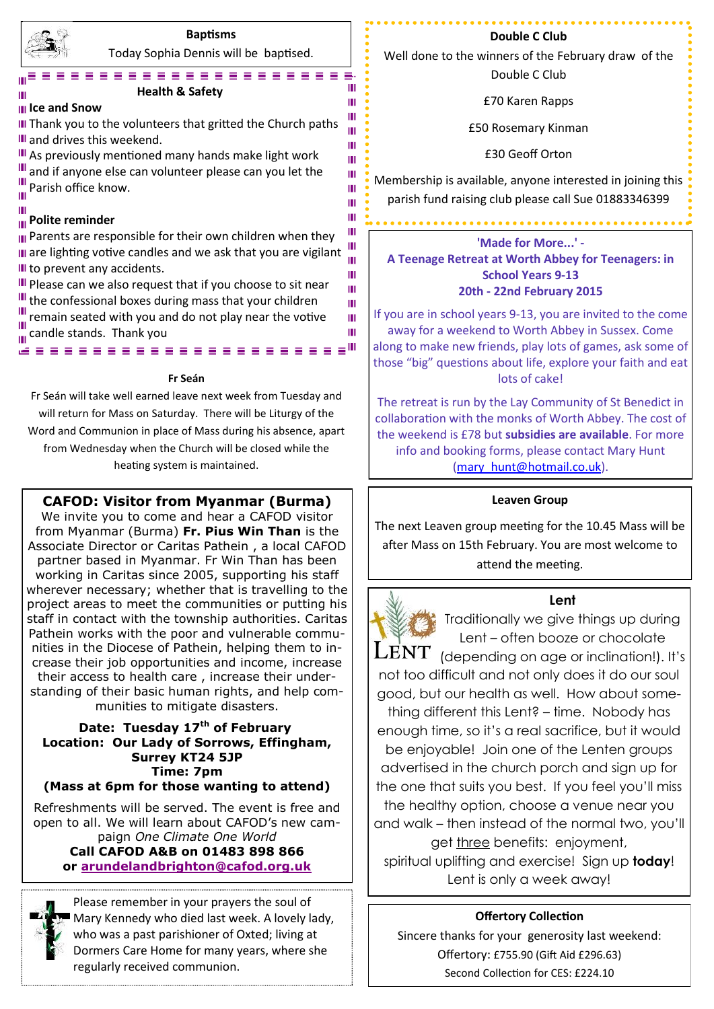

### **Baptisms**

Today Sophia Dennis will be baptised. . . . . . . . . . . . . . . . . . . .

> ш Ш Ш Ш m Ш Ш Ш Ш

Ш Ш ш Ш Ш Ш Ш

Ш

#### **Health & Safety**

#### **Ice and Snow**

III Thank you to the volunteers that gritted the Church paths **III** and drives this weekend.

III As previously mentioned many hands make light work III and if anyone else can volunteer please can you let the **III** Parish office know.

#### **Polite reminder**

III Parents are responsible for their own children when they III are lighting votive candles and we ask that you are vigilant III to prevent any accidents.

III Please can we also request that if you choose to sit near III the confessional boxes during mass that your children III remain seated with you and do not play near the votive  $\frac{1}{\ln 2}$  candle stands. Thank you Ш

ë saasasasasasasasasas<sup>u</sup>

#### **Fr Seán**

Fr Seán will take well earned leave next week from Tuesday and will return for Mass on Saturday. There will be Liturgy of the Word and Communion in place of Mass during his absence, apart from Wednesday when the Church will be closed while the heating system is maintained.

#### **CAFOD: Visitor from Myanmar (Burma)**

We invite you to come and hear a CAFOD visitor from Myanmar (Burma) **Fr. Pius Win Than** is the Associate Director or Caritas Pathein , a local CAFOD partner based in Myanmar. Fr Win Than has been working in Caritas since 2005, supporting his staff wherever necessary; whether that is travelling to the project areas to meet the communities or putting his staff in contact with the township authorities. Caritas Pathein works with the poor and vulnerable communities in the Diocese of Pathein, helping them to increase their job opportunities and income, increase their access to health care , increase their understanding of their basic human rights, and help communities to mitigate disasters.

#### **Date: Tuesday 17th of February Location: Our Lady of Sorrows, Effingham, Surrey KT24 5JP Time: 7pm (Mass at 6pm for those wanting to attend)**

Refreshments will be served. The event is free and open to all. We will learn about CAFOD's new campaign *One Climate One World*

**Call CAFOD A&B on 01483 898 866 or [arundelandbrighton@cafod.org.uk](mailto:arundelandbrighton@cafod.org.uk)**

Please remember in your prayers the soul of Mary Kennedy who died last week. A lovely lady, who was a past parishioner of Oxted; living at Dormers Care Home for many years, where she regularly received communion.

#### **Double C Club**

Well done to the winners of the February draw of the Double C Club

£70 Karen Rapps

£50 Rosemary Kinman

£30 Geoff Orton

Membership is available, anyone interested in joining this parish fund raising club please call Sue 01883346399

**'Made for More...' - A Teenage Retreat at Worth Abbey for Teenagers: in School Years 9-13 20th - 22nd February 2015**

If you are in school years 9-13, you are invited to the come away for a weekend to Worth Abbey in Sussex. Come along to make new friends, play lots of games, ask some of those "big" questions about life, explore your faith and eat lots of cake!

The retreat is run by the Lay Community of St Benedict in collaboration with the monks of Worth Abbey. The cost of the weekend is £78 but **subsidies are available**. For more info and booking forms, please contact Mary Hunt [\(mary\\_hunt@hotmail.co.uk\).](mailto:katyrussell@hotmail.co.uk)

#### **Leaven Group**

The next Leaven group meeting for the 10.45 Mass will be after Mass on 15th February. You are most welcome to attend the meeting.



**Lent**

Traditionally we give things up during Lent – often booze or chocolate  $\textrm{LENT}$  (depending on age or inclination!). It's not too difficult and not only does it do our soul good, but our health as well. How about something different this Lent? – time. Nobody has enough time, so it's a real sacrifice, but it would be enjoyable! Join one of the Lenten groups advertised in the church porch and sign up for the one that suits you best. If you feel you'll miss the healthy option, choose a venue near you and walk – then instead of the normal two, you'll get three benefits: enjoyment, spiritual uplifting and exercise! Sign up **today**! Lent is only a week away!

#### **Offertory Collection**

Sincere thanks for your generosity last weekend: Offertory: £755.90 (Gift Aid £296.63) Second Collection for CES: £224.10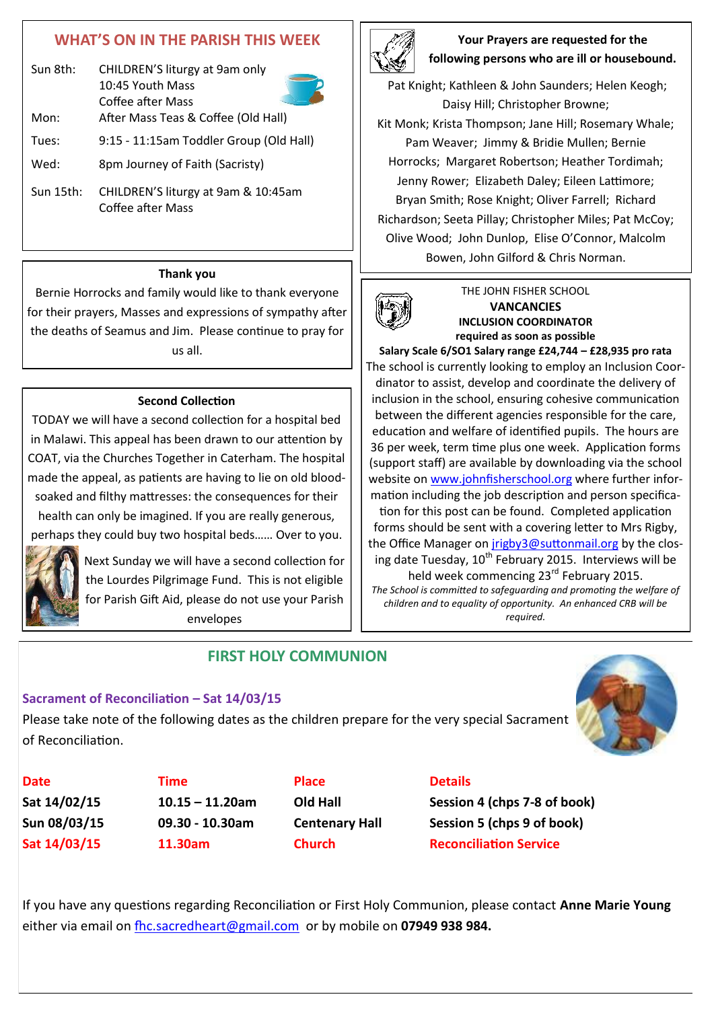## **WHAT'S ON IN THE PARISH THIS WEEK**

| Sun 8th:  | CHILDREN'S liturgy at 9am only<br>10:45 Youth Mass<br>Coffee after Mass |  |
|-----------|-------------------------------------------------------------------------|--|
| Mon:      | After Mass Teas & Coffee (Old Hall)                                     |  |
| Tues:     | 9:15 - 11:15am Toddler Group (Old Hall)                                 |  |
| Wed:      | 8pm Journey of Faith (Sacristy)                                         |  |
| Sun 15th: | CHILDREN'S liturgy at 9am & 10:45am                                     |  |

Coffee after Mass

#### **Thank you**

Bernie Horrocks and family would like to thank everyone for their prayers, Masses and expressions of sympathy after the deaths of Seamus and Jim. Please continue to pray for us all.

#### **Second Collection**

TODAY we will have a second collection for a hospital bed in Malawi. This appeal has been drawn to our attention by COAT, via the Churches Together in Caterham. The hospital made the appeal, as patients are having to lie on old bloodsoaked and filthy mattresses: the consequences for their health can only be imagined. If you are really generous,

perhaps they could buy two hospital beds…… Over to you.



Next Sunday we will have a second collection for the Lourdes Pilgrimage Fund. This is not eligible for Parish Gift Aid, please do not use your Parish envelopes

2

**Your Prayers are requested for the following persons who are ill or housebound.** 

Pat Knight; Kathleen & John Saunders; Helen Keogh; Daisy Hill; Christopher Browne; Kit Monk; Krista Thompson; Jane Hill; Rosemary Whale; Pam Weaver; Jimmy & Bridie Mullen; Bernie Horrocks; Margaret Robertson; Heather Tordimah; Jenny Rower; Elizabeth Daley; Eileen Lattimore; Bryan Smith; Rose Knight; Oliver Farrell; Richard Richardson; Seeta Pillay; Christopher Miles; Pat McCoy; Olive Wood; John Dunlop, Elise O'Connor, Malcolm Bowen, John Gilford & Chris Norman.



#### THE JOHN FISHER SCHOOL **VANCANCIES INCLUSION COORDINATOR required as soon as possible**

**Salary Scale 6/SO1 Salary range £24,744 – £28,935 pro rata** The school is currently looking to employ an Inclusion Coordinator to assist, develop and coordinate the delivery of inclusion in the school, ensuring cohesive communication between the different agencies responsible for the care, education and welfare of identified pupils. The hours are 36 per week, term time plus one week. Application forms (support staff) are available by downloading via the school website on [www.johnfisherschool.org](http://www.johnfisherschool.org) where further information including the job description and person specification for this post can be found. Completed application forms should be sent with a covering letter to Mrs Rigby, the Office Manager on [jrigby3@suttonmail.org](mailto:jrigby3@suttonmail.org) by the closing date Tuesday, 10<sup>th</sup> February 2015. Interviews will be held week commencing 23<sup>rd</sup> February 2015. *The School is committed to safeguarding and promoting the welfare of children and to equality of opportunity. An enhanced CRB will be* 

*required.*

#### **Sacrament of Reconciliation – Sat 14/03/15**

Please take note of the following dates as the children prepare for the very special Sacrament of Reconciliation.

**FIRST HOLY COMMUNION**



**Date CONS Time Place Details** 

**Sat 14/02/15 10.15 – 11.20am Old Hall Session 4 (chps 7-8 of book) Sun 08/03/15 09.30 - 10.30am Centenary Hall Session 5 (chps 9 of book) Sat 14/03/15 11.30am Church Reconciliation Service**

If you have any questions regarding Reconciliation or First Holy Communion, please contact **Anne Marie Young** either via email on [fhc.sacredheart@gmail.com](mailto:fhc.sacredheart@gmail.com) or by mobile on **07949 938 984.**